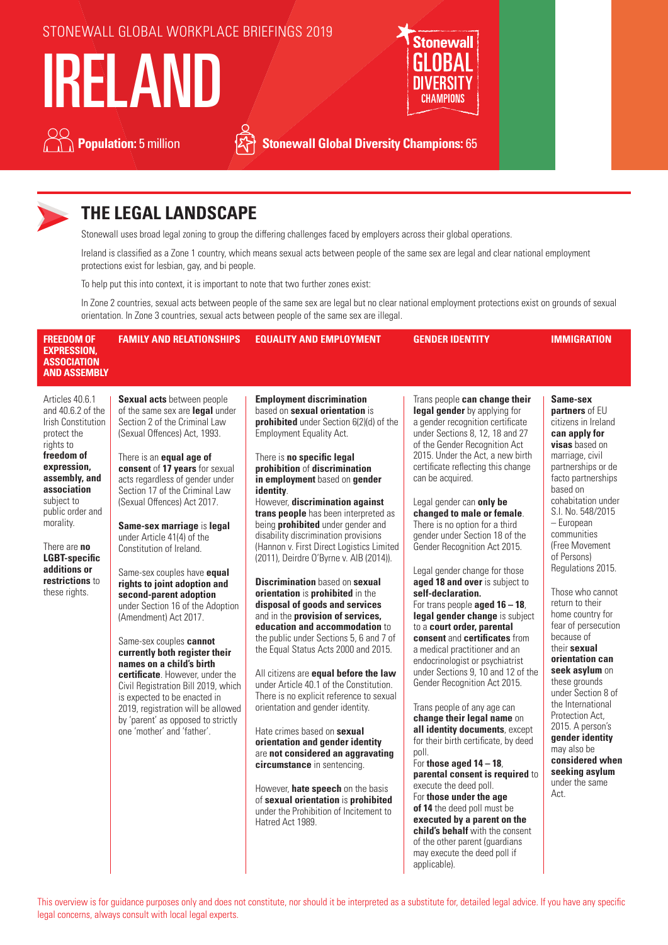



# **THE LEGAL LANDSCAPE**

Stonewall uses broad legal zoning to group the differing challenges faced by employers across their global operations.

Ireland is classified as a Zone 1 country, which means sexual acts between people of the same sex are legal and clear national employment protections exist for lesbian, gay, and bi people.

To help put this into context, it is important to note that two further zones exist:

In Zone 2 countries, sexual acts between people of the same sex are legal but no clear national employment protections exist on grounds of sexual orientation. In Zone 3 countries, sexual acts between people of the same sex are illegal.

| <b>FREEDOM OF</b><br><b>EXPRESSION,</b><br><b>ASSOCIATION</b><br><b>AND ASSEMBLY</b>                                                                                                                                                                                                                  | <b>FAMILY AND RELATIONSHIPS</b>                                                                                                                                                                                                                                                                                                                                                                                                                                                                                                                                                                                                                                                                                                                                                                                                                                   | <b>EQUALITY AND EMPLOYMENT</b>                                                                                                                                                                                                                                                                                                                                                                                                                                                                                                                                                                                                                                                                                                                                                                                                                                                                                                                                                                                                                                                                                                                                                                                                | <b>GENDER IDENTITY</b>                                                                                                                                                                                                                                                                                                                                                                                                                                                                                                                                                                                                                                                                                                                                                                                                                                                                                                                                                                                                                                                                                              | <b>IMMIGRATION</b>                                                                                                                                                                                                                                                                                                                                                                                                                                                                                                                                                                                                                                     |
|-------------------------------------------------------------------------------------------------------------------------------------------------------------------------------------------------------------------------------------------------------------------------------------------------------|-------------------------------------------------------------------------------------------------------------------------------------------------------------------------------------------------------------------------------------------------------------------------------------------------------------------------------------------------------------------------------------------------------------------------------------------------------------------------------------------------------------------------------------------------------------------------------------------------------------------------------------------------------------------------------------------------------------------------------------------------------------------------------------------------------------------------------------------------------------------|-------------------------------------------------------------------------------------------------------------------------------------------------------------------------------------------------------------------------------------------------------------------------------------------------------------------------------------------------------------------------------------------------------------------------------------------------------------------------------------------------------------------------------------------------------------------------------------------------------------------------------------------------------------------------------------------------------------------------------------------------------------------------------------------------------------------------------------------------------------------------------------------------------------------------------------------------------------------------------------------------------------------------------------------------------------------------------------------------------------------------------------------------------------------------------------------------------------------------------|---------------------------------------------------------------------------------------------------------------------------------------------------------------------------------------------------------------------------------------------------------------------------------------------------------------------------------------------------------------------------------------------------------------------------------------------------------------------------------------------------------------------------------------------------------------------------------------------------------------------------------------------------------------------------------------------------------------------------------------------------------------------------------------------------------------------------------------------------------------------------------------------------------------------------------------------------------------------------------------------------------------------------------------------------------------------------------------------------------------------|--------------------------------------------------------------------------------------------------------------------------------------------------------------------------------------------------------------------------------------------------------------------------------------------------------------------------------------------------------------------------------------------------------------------------------------------------------------------------------------------------------------------------------------------------------------------------------------------------------------------------------------------------------|
| Articles 40.6.1<br>and 40.6.2 of the<br><b>Irish Constitution</b><br>protect the<br>rights to<br>freedom of<br>expression,<br>assembly, and<br>association<br>subject to<br>public order and<br>morality.<br>There are no<br><b>LGBT-specific</b><br>additions or<br>restrictions to<br>these rights. | Sexual acts between people<br>of the same sex are legal under<br>Section 2 of the Criminal Law<br>(Sexual Offences) Act, 1993.<br>There is an <b>equal age of</b><br>consent of 17 years for sexual<br>acts regardless of gender under<br>Section 17 of the Criminal Law<br>(Sexual Offences) Act 2017.<br>Same-sex marriage is legal<br>under Article 41(4) of the<br>Constitution of Ireland.<br>Same-sex couples have equal<br>rights to joint adoption and<br>second-parent adoption<br>under Section 16 of the Adoption<br>(Amendment) Act 2017.<br>Same-sex couples cannot<br>currently both register their<br>names on a child's birth<br>certificate. However, under the<br>Civil Registration Bill 2019, which<br>is expected to be enacted in<br>2019, registration will be allowed<br>by 'parent' as opposed to strictly<br>one 'mother' and 'father'. | <b>Employment discrimination</b><br>based on sexual orientation is<br>prohibited under Section 6(2)(d) of the<br><b>Employment Equality Act.</b><br>There is no specific legal<br>prohibition of discrimination<br>in employment based on gender<br>identity.<br>However, discrimination against<br>trans people has been interpreted as<br>being <b>prohibited</b> under gender and<br>disability discrimination provisions<br>(Hannon v. First Direct Logistics Limited<br>(2011), Deirdre O'Byrne v. AIB (2014)).<br><b>Discrimination</b> based on sexual<br>orientation is prohibited in the<br>disposal of goods and services<br>and in the provision of services,<br>education and accommodation to<br>the public under Sections 5, 6 and 7 of<br>the Equal Status Acts 2000 and 2015.<br>All citizens are equal before the law<br>under Article 40.1 of the Constitution.<br>There is no explicit reference to sexual<br>orientation and gender identity.<br>Hate crimes based on sexual<br>orientation and gender identity<br>are not considered an aggravating<br>circumstance in sentencing.<br>However, hate speech on the basis<br>of sexual orientation is prohibited<br>under the Prohibition of Incitement to | Trans people can change their<br>legal gender by applying for<br>a gender recognition certificate<br>under Sections 8, 12, 18 and 27<br>of the Gender Recognition Act<br>2015. Under the Act, a new birth<br>certificate reflecting this change<br>can be acquired.<br>Legal gender can only be<br>changed to male or female.<br>There is no option for a third<br>gender under Section 18 of the<br>Gender Recognition Act 2015.<br>Legal gender change for those<br>aged 18 and over is subject to<br>self-declaration.<br>For trans people <b>aged 16 - 18</b> ,<br>legal gender change is subject<br>to a court order, parental<br>consent and certificates from<br>a medical practitioner and an<br>endocrinologist or psychiatrist<br>under Sections 9, 10 and 12 of the<br>Gender Recognition Act 2015.<br>Trans people of any age can<br>change their legal name on<br>all identity documents, except<br>for their birth certificate, by deed<br>poll.<br>For those aged $14 - 18$ ,<br>parental consent is required to<br>execute the deed poll.<br>For those under the age<br>of 14 the deed poll must be | Same-sex<br>partners of EU<br>citizens in Ireland<br>can apply for<br>visas based on<br>marriage, civil<br>partnerships or de<br>facto partnerships<br>based on<br>cohabitation under<br>S.I. No. 548/2015<br>- European<br>communities<br>(Free Movement<br>of Persons)<br>Regulations 2015.<br>Those who cannot<br>return to their<br>home country for<br>fear of persecution<br>because of<br>their sexual<br>orientation can<br>seek asylum on<br>these grounds<br>under Section 8 of<br>the International<br>Protection Act.<br>2015. A person's<br>gender identity<br>may also be<br>considered when<br>seeking asylum<br>under the same<br>Act. |

This overview is for guidance purposes only and does not constitute, nor should it be interpreted as a substitute for, detailed legal advice. If you have any specific legal concerns, always consult with local legal experts.

**executed by a parent on the child's behalf** with the consent of the other parent (guardians may execute the deed poll if

applicable).

Hatred Act 1989.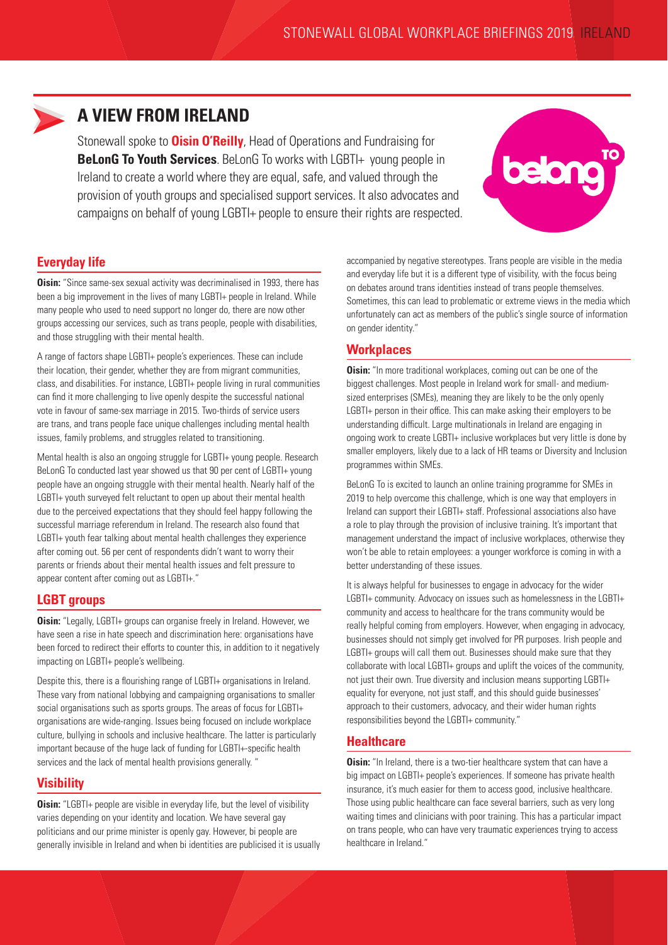

## **A VIEW FROM IRELAND**

Stonewall spoke to **Oisin O'Reilly**, Head of Operations and Fundraising for **BeLonG To Youth Services**. BeLonG To works with LGBTI+ young people in Ireland to create a world where they are equal, safe, and valued through the provision of youth groups and specialised support services. It also advocates and campaigns on behalf of young LGBTI+ people to ensure their rights are respected.



## **Everyday life**

**Oisin:** "Since same-sex sexual activity was decriminalised in 1993, there has been a big improvement in the lives of many LGBTI+ people in Ireland. While many people who used to need support no longer do, there are now other groups accessing our services, such as trans people, people with disabilities, and those struggling with their mental health.

A range of factors shape LGBTI+ people's experiences. These can include their location, their gender, whether they are from migrant communities, class, and disabilities. For instance, LGBTI+ people living in rural communities can find it more challenging to live openly despite the successful national vote in favour of same-sex marriage in 2015. Two-thirds of service users are trans, and trans people face unique challenges including mental health issues, family problems, and struggles related to transitioning.

Mental health is also an ongoing struggle for LGBTI+ young people. Research BeLonG To conducted last year showed us that 90 per cent of LGBTI+ young people have an ongoing struggle with their mental health. Nearly half of the LGBTI+ youth surveyed felt reluctant to open up about their mental health due to the perceived expectations that they should feel happy following the successful marriage referendum in Ireland. The research also found that LGBTI+ youth fear talking about mental health challenges they experience after coming out. 56 per cent of respondents didn't want to worry their parents or friends about their mental health issues and felt pressure to appear content after coming out as LGBTI+."

#### **LGBT groups**

**Oisin:** "Legally, LGBTI+ groups can organise freely in Ireland. However, we have seen a rise in hate speech and discrimination here: organisations have been forced to redirect their efforts to counter this, in addition to it negatively impacting on LGBTI+ people's wellbeing.

Despite this, there is a flourishing range of LGBTI+ organisations in Ireland. These vary from national lobbying and campaigning organisations to smaller social organisations such as sports groups. The areas of focus for LGBTI+ organisations are wide-ranging. Issues being focused on include workplace culture, bullying in schools and inclusive healthcare. The latter is particularly important because of the huge lack of funding for LGBTI+-specific health services and the lack of mental health provisions generally. "

## **Visibility**

**Oisin:** "LGBTI+ people are visible in everyday life, but the level of visibility varies depending on your identity and location. We have several gay politicians and our prime minister is openly gay. However, bi people are generally invisible in Ireland and when bi identities are publicised it is usually

accompanied by negative stereotypes. Trans people are visible in the media and everyday life but it is a different type of visibility, with the focus being on debates around trans identities instead of trans people themselves. Sometimes, this can lead to problematic or extreme views in the media which unfortunately can act as members of the public's single source of information on gender identity."

## **Workplaces**

**Oisin:** "In more traditional workplaces, coming out can be one of the biggest challenges. Most people in Ireland work for small- and mediumsized enterprises (SMEs), meaning they are likely to be the only openly LGBTI+ person in their office. This can make asking their employers to be understanding difficult. Large multinationals in Ireland are engaging in ongoing work to create LGBTI+ inclusive workplaces but very little is done by smaller employers, likely due to a lack of HR teams or Diversity and Inclusion programmes within SMEs.

BeLonG To is excited to launch an online training programme for SMEs in 2019 to help overcome this challenge, which is one way that employers in Ireland can support their LGBTI+ staff. Professional associations also have a role to play through the provision of inclusive training. It's important that management understand the impact of inclusive workplaces, otherwise they won't be able to retain employees: a younger workforce is coming in with a better understanding of these issues.

It is always helpful for businesses to engage in advocacy for the wider LGBTI+ community. Advocacy on issues such as homelessness in the LGBTI+ community and access to healthcare for the trans community would be really helpful coming from employers. However, when engaging in advocacy, businesses should not simply get involved for PR purposes. Irish people and LGBTI+ groups will call them out. Businesses should make sure that they collaborate with local LGBTI+ groups and uplift the voices of the community, not just their own. True diversity and inclusion means supporting LGBTI+ equality for everyone, not just staff, and this should guide businesses' approach to their customers, advocacy, and their wider human rights responsibilities beyond the LGBTI+ community."

#### **Healthcare**

**Oisin:** "In Ireland, there is a two-tier healthcare system that can have a big impact on LGBTI+ people's experiences. If someone has private health insurance, it's much easier for them to access good, inclusive healthcare. Those using public healthcare can face several barriers, such as very long waiting times and clinicians with poor training. This has a particular impact on trans people, who can have very traumatic experiences trying to access healthcare in Ireland."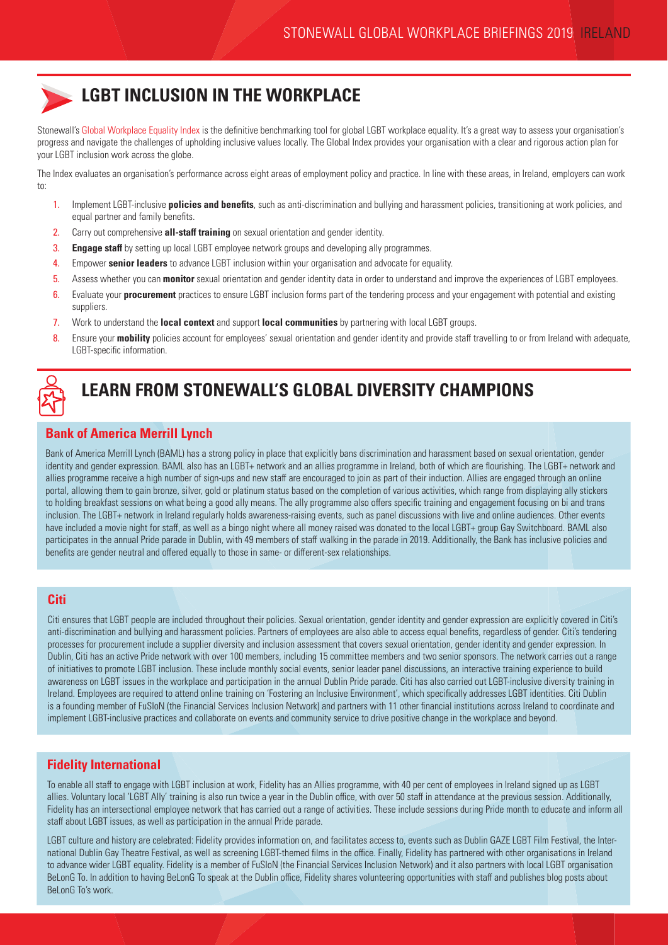

## **LGBT INCLUSION IN THE WORKPLACE**

Stonewall's [Global Workplace Equality Index](https://www.stonewall.org.uk/node/126346) is the definitive benchmarking tool for global LGBT workplace equality. It's a great way to assess your organisation's progress and navigate the challenges of upholding inclusive values locally. The Global Index provides your organisation with a clear and rigorous action plan for your LGBT inclusion work across the globe.

The Index evaluates an organisation's performance across eight areas of employment policy and practice. In line with these areas, in Ireland, employers can work to:

- 1. Implement LGBT-inclusive **policies and benefits**, such as anti-discrimination and bullying and harassment policies, transitioning at work policies, and equal partner and family benefits.
- 2. Carry out comprehensive **all-staff training** on sexual orientation and gender identity.
- 3. **Engage staff** by setting up local LGBT employee network groups and developing ally programmes.
- 4. Empower **senior leaders** to advance LGBT inclusion within your organisation and advocate for equality.
- 5. Assess whether you can **monitor** sexual orientation and gender identity data in order to understand and improve the experiences of LGBT employees.
- 6. Evaluate your **procurement** practices to ensure LGBT inclusion forms part of the tendering process and your engagement with potential and existing suppliers.
- 7. Work to understand the **local context** and support **local communities** by partnering with local LGBT groups.
- 8. Ensure your **mobility** policies account for employees' sexual orientation and gender identity and provide staff travelling to or from Ireland with adequate, LGBT-specific information.



# **LEARN FROM STONEWALL'S GLOBAL DIVERSITY CHAMPIONS**

## **Bank of America Merrill Lynch**

Bank of America Merrill Lynch (BAML) has a strong policy in place that explicitly bans discrimination and harassment based on sexual orientation, gender identity and gender expression. BAML also has an LGBT+ network and an allies programme in Ireland, both of which are flourishing. The LGBT+ network and allies programme receive a high number of sign-ups and new staff are encouraged to join as part of their induction. Allies are engaged through an online portal, allowing them to gain bronze, silver, gold or platinum status based on the completion of various activities, which range from displaying ally stickers to holding breakfast sessions on what being a good ally means. The ally programme also offers specific training and engagement focusing on bi and trans inclusion. The LGBT+ network in Ireland regularly holds awareness-raising events, such as panel discussions with live and online audiences. Other events have included a movie night for staff, as well as a bingo night where all money raised was donated to the local LGBT+ group Gay Switchboard. BAML also participates in the annual Pride parade in Dublin, with 49 members of staff walking in the parade in 2019. Additionally, the Bank has inclusive policies and benefits are gender neutral and offered equally to those in same- or different-sex relationships.

#### **Citi**

Citi ensures that LGBT people are included throughout their policies. Sexual orientation, gender identity and gender expression are explicitly covered in Citi's anti-discrimination and bullying and harassment policies. Partners of employees are also able to access equal benefits, regardless of gender. Citi's tendering processes for procurement include a supplier diversity and inclusion assessment that covers sexual orientation, gender identity and gender expression. In Dublin, Citi has an active Pride network with over 100 members, including 15 committee members and two senior sponsors. The network carries out a range of initiatives to promote LGBT inclusion. These include monthly social events, senior leader panel discussions, an interactive training experience to build awareness on LGBT issues in the workplace and participation in the annual Dublin Pride parade. Citi has also carried out LGBT-inclusive diversity training in Ireland. Employees are required to attend online training on 'Fostering an Inclusive Environment', which specifically addresses LGBT identities. Citi Dublin is a founding member of FuSIoN (the Financial Services Inclusion Network) and partners with 11 other financial institutions across Ireland to coordinate and implement LGBT-inclusive practices and collaborate on events and community service to drive positive change in the workplace and beyond.

#### **Fidelity International**

To enable all staff to engage with LGBT inclusion at work, Fidelity has an Allies programme, with 40 per cent of employees in Ireland signed up as LGBT allies. Voluntary local 'LGBT Ally' training is also run twice a year in the Dublin office, with over 50 staff in attendance at the previous session. Additionally, Fidelity has an intersectional employee network that has carried out a range of activities. These include sessions during Pride month to educate and inform all staff about LGBT issues, as well as participation in the annual Pride parade.

LGBT culture and history are celebrated: Fidelity provides information on, and facilitates access to, events such as Dublin GAZE LGBT Film Festival, the International Dublin Gay Theatre Festival, as well as screening LGBT-themed films in the office. Finally, Fidelity has partnered with other organisations in Ireland to advance wider LGBT equality. Fidelity is a member of FuSIoN (the Financial Services Inclusion Network) and it also partners with local LGBT organisation BeLonG To. In addition to having BeLonG To speak at the Dublin office, Fidelity shares volunteering opportunities with staff and publishes blog posts about BeLonG To's work.